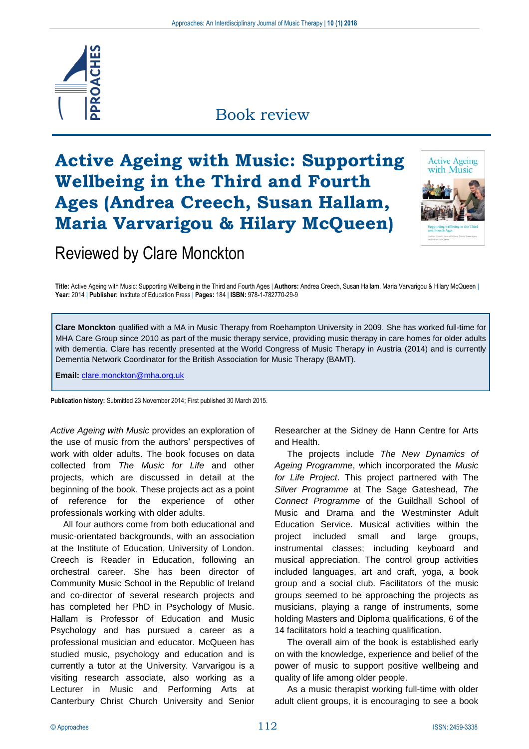

### Book review

# **Active Ageing with Music: Supporting Wellbeing in the Third and Fourth Ages (Andrea Creech, Susan Hallam, Maria Varvarigou & Hilary McQueen)**



## Reviewed by Clare Monckton

**Title:** Active Ageing with Music: Supporting Wellbeing in the Third and Fourth Ages | **Authors:** Andrea Creech, Susan Hallam, Maria Varvarigou & Hilary McQueen | **Year:** 2014 | **Publisher:** Institute of Education Press | **Pages:** 184 | **ISBN:** 978-1-782770-29-9

**Clare Monckton** qualified with a MA in Music Therapy from Roehampton University in 2009. She has worked full-time for MHA Care Group since 2010 as part of the music therapy service, providing music therapy in care homes for older adults with dementia. Clare has recently presented at the World Congress of Music Therapy in Austria (2014) and is currently Dementia Network Coordinator for the British Association for Music Therapy (BAMT).

**Email:** [clare.monckton@mha.org.uk](mailto:clare.monckton@mha.org.uk)

**Publication history:** Submitted 23 November 2014; First published 30 March 2015.

*Active Ageing with Music* provides an exploration of the use of music from the authors' perspectives of work with older adults. The book focuses on data collected from *The Music for Life* and other projects, which are discussed in detail at the beginning of the book. These projects act as a point of reference for the experience of other professionals working with older adults.

All four authors come from both educational and music-orientated backgrounds, with an association at the Institute of Education, University of London. Creech is Reader in Education, following an orchestral career. She has been director of Community Music School in the Republic of Ireland and co-director of several research projects and has completed her PhD in Psychology of Music. Hallam is Professor of Education and Music Psychology and has pursued a career as a professional musician and educator. McQueen has studied music, psychology and education and is currently a tutor at the University. Varvarigou is a visiting research associate, also working as a Lecturer in Music and Performing Arts at Canterbury Christ Church University and Senior

Researcher at the Sidney de Hann Centre for Arts and Health.

The projects include *The New Dynamics of Ageing Programme*, which incorporated the *Music for Life Project*. This project partnered with The *Silver Programme* at The Sage Gateshead, *The Connect Programme* of the Guildhall School of Music and Drama and the Westminster Adult Education Service. Musical activities within the project included small and large groups, instrumental classes; including keyboard and musical appreciation. The control group activities included languages, art and craft, yoga, a book group and a social club. Facilitators of the music groups seemed to be approaching the projects as musicians, playing a range of instruments, some holding Masters and Diploma qualifications, 6 of the 14 facilitators hold a teaching qualification.

The overall aim of the book is established early on with the knowledge, experience and belief of the power of music to support positive wellbeing and quality of life among older people.

As a music therapist working full-time with older adult client groups, it is encouraging to see a book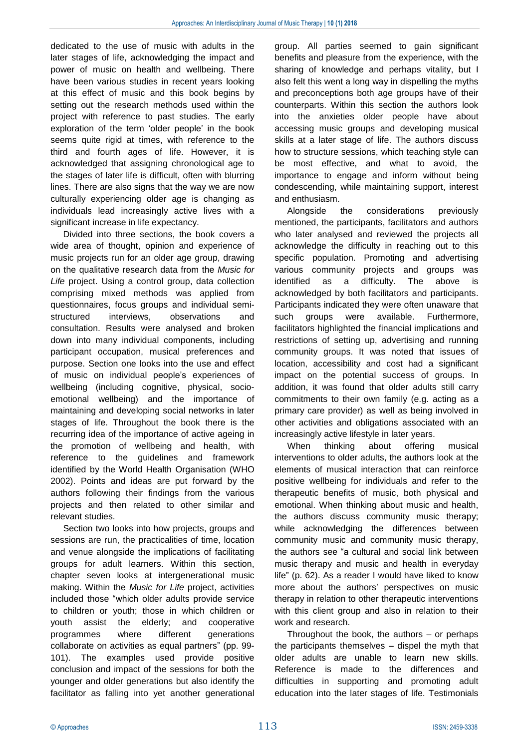dedicated to the use of music with adults in the later stages of life, acknowledging the impact and power of music on health and wellbeing. There have been various studies in recent years looking at this effect of music and this book begins by setting out the research methods used within the project with reference to past studies. The early exploration of the term 'older people' in the book seems quite rigid at times, with reference to the third and fourth ages of life. However, it is acknowledged that assigning chronological age to the stages of later life is difficult, often with blurring lines. There are also signs that the way we are now culturally experiencing older age is changing as individuals lead increasingly active lives with a significant increase in life expectancy.

Divided into three sections, the book covers a wide area of thought, opinion and experience of music projects run for an older age group, drawing on the qualitative research data from the *Music for Life* project. Using a control group, data collection comprising mixed methods was applied from questionnaires, focus groups and individual semistructured interviews, observations and consultation. Results were analysed and broken down into many individual components, including participant occupation, musical preferences and purpose. Section one looks into the use and effect of music on individual people's experiences of wellbeing (including cognitive, physical, socioemotional wellbeing) and the importance of maintaining and developing social networks in later stages of life. Throughout the book there is the recurring idea of the importance of active ageing in the promotion of wellbeing and health, with reference to the guidelines and framework identified by the World Health Organisation (WHO 2002). Points and ideas are put forward by the authors following their findings from the various projects and then related to other similar and relevant studies.

Section two looks into how projects, groups and sessions are run, the practicalities of time, location and venue alongside the implications of facilitating groups for adult learners. Within this section, chapter seven looks at intergenerational music making. Within the *Music for Life* project, activities included those "which older adults provide service to children or youth; those in which children or youth assist the elderly; and cooperative programmes where different generations collaborate on activities as equal partners" (pp. 99- 101). The examples used provide positive conclusion and impact of the sessions for both the younger and older generations but also identify the facilitator as falling into yet another generational

group. All parties seemed to gain significant benefits and pleasure from the experience, with the sharing of knowledge and perhaps vitality, but I also felt this went a long way in dispelling the myths and preconceptions both age groups have of their counterparts. Within this section the authors look into the anxieties older people have about accessing music groups and developing musical skills at a later stage of life. The authors discuss how to structure sessions, which teaching style can be most effective, and what to avoid, the importance to engage and inform without being condescending, while maintaining support, interest and enthusiasm.

Alongside the considerations previously mentioned, the participants, facilitators and authors who later analysed and reviewed the projects all acknowledge the difficulty in reaching out to this specific population. Promoting and advertising various community projects and groups was identified as a difficulty. The above is acknowledged by both facilitators and participants. Participants indicated they were often unaware that such groups were available. Furthermore, facilitators highlighted the financial implications and restrictions of setting up, advertising and running community groups. It was noted that issues of location, accessibility and cost had a significant impact on the potential success of groups. In addition, it was found that older adults still carry commitments to their own family (e.g. acting as a primary care provider) as well as being involved in other activities and obligations associated with an increasingly active lifestyle in later years.

When thinking about offering musical interventions to older adults, the authors look at the elements of musical interaction that can reinforce positive wellbeing for individuals and refer to the therapeutic benefits of music, both physical and emotional. When thinking about music and health, the authors discuss community music therapy; while acknowledging the differences between community music and community music therapy, the authors see "a cultural and social link between music therapy and music and health in everyday life" (p. 62). As a reader I would have liked to know more about the authors' perspectives on music therapy in relation to other therapeutic interventions with this client group and also in relation to their work and research.

Throughout the book, the authors – or perhaps the participants themselves – dispel the myth that older adults are unable to learn new skills. Reference is made to the differences and difficulties in supporting and promoting adult education into the later stages of life. Testimonials